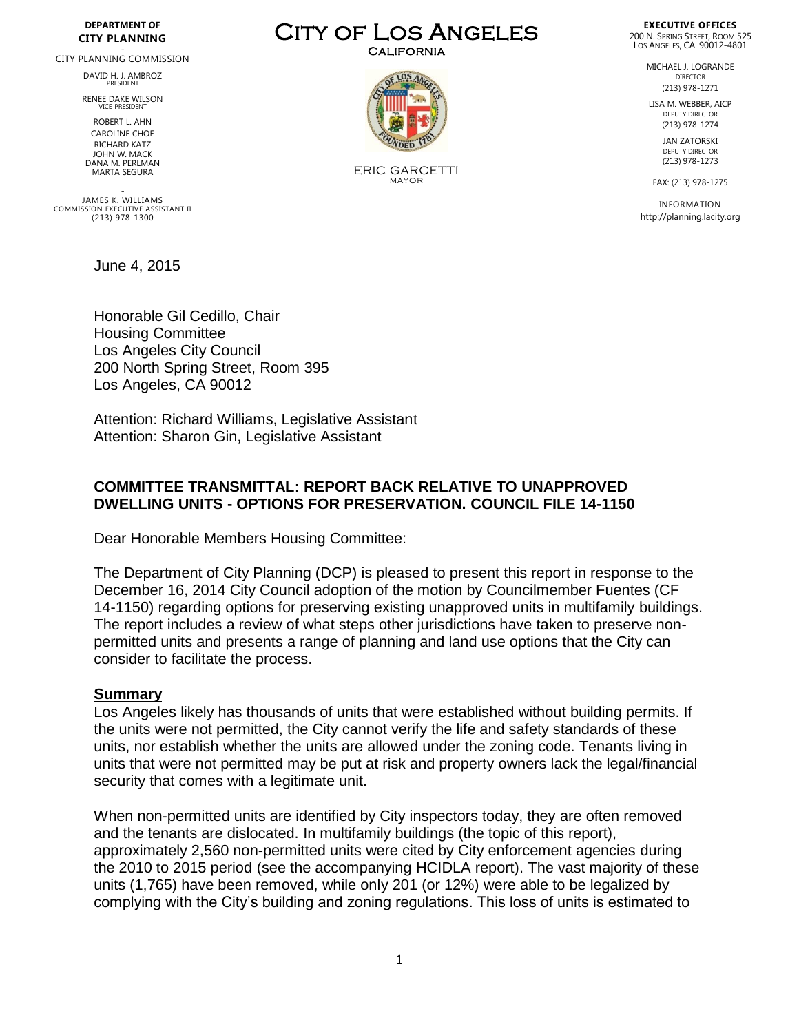#### **DEPARTMENT OF CITY PLANNING**

# - CITY PLANNING COMMISSION

DAVID H. J. AMBROZ **PRESIDENT** 

RENEE DAKE WILSON VICE-PRESIDENT

ROBERT LAHN CAROLINE CHOE RICHARD KATZ JOHN W. MACK DANA M. PERLMAN MARTA SEGURA

- JAMES K. WILLIAMS COMMISSION EXECUTIVE ASSISTANT II (213) 978-1300

June 4, 2015

Honorable Gil Cedillo, Chair Housing Committee Los Angeles City Council 200 North Spring Street, Room 395 Los Angeles, CA 90012

Attention: Richard Williams, Legislative Assistant Attention: Sharon Gin, Legislative Assistant

#### **COMMITTEE TRANSMITTAL: REPORT BACK RELATIVE TO UNAPPROVED DWELLING UNITS - OPTIONS FOR PRESERVATION. COUNCIL FILE 14-1150**

Dear Honorable Members Housing Committee:

The Department of City Planning (DCP) is pleased to present this report in response to the December 16, 2014 City Council adoption of the motion by Councilmember Fuentes (CF 14-1150) regarding options for preserving existing unapproved units in multifamily buildings. The report includes a review of what steps other jurisdictions have taken to preserve nonpermitted units and presents a range of planning and land use options that the City can consider to facilitate the process.

#### **Summary**

Los Angeles likely has thousands of units that were established without building permits. If the units were not permitted, the City cannot verify the life and safety standards of these units, nor establish whether the units are allowed under the zoning code. Tenants living in units that were not permitted may be put at risk and property owners lack the legal/financial security that comes with a legitimate unit.

When non-permitted units are identified by City inspectors today, they are often removed and the tenants are dislocated. In multifamily buildings (the topic of this report), approximately 2,560 non-permitted units were cited by City enforcement agencies during the 2010 to 2015 period (see the accompanying HCIDLA report). The vast majority of these units (1,765) have been removed, while only 201 (or 12%) were able to be legalized by complying with the City's building and zoning regulations. This loss of units is estimated to

City of Los Angeles **CALIFORNIA** 



ERIC GARCETTI MAYOR

**EXECUTIVE OFFICES** 200 N. SPRING STREET, ROOM 525 LOS ANGELES, CA 90012-4801

> MICHAEL J. LOGRANDE DIRECTOR (213) 978-1271

LISA M. WEBBER, AICP DEPUTY DIRECTOR (213) 978-1274

> JAN ZATORSKI DEPUTY DIRECTOR (213) 978-1273

FAX: (213) 978-1275

INFORMATION http://planning.lacity.org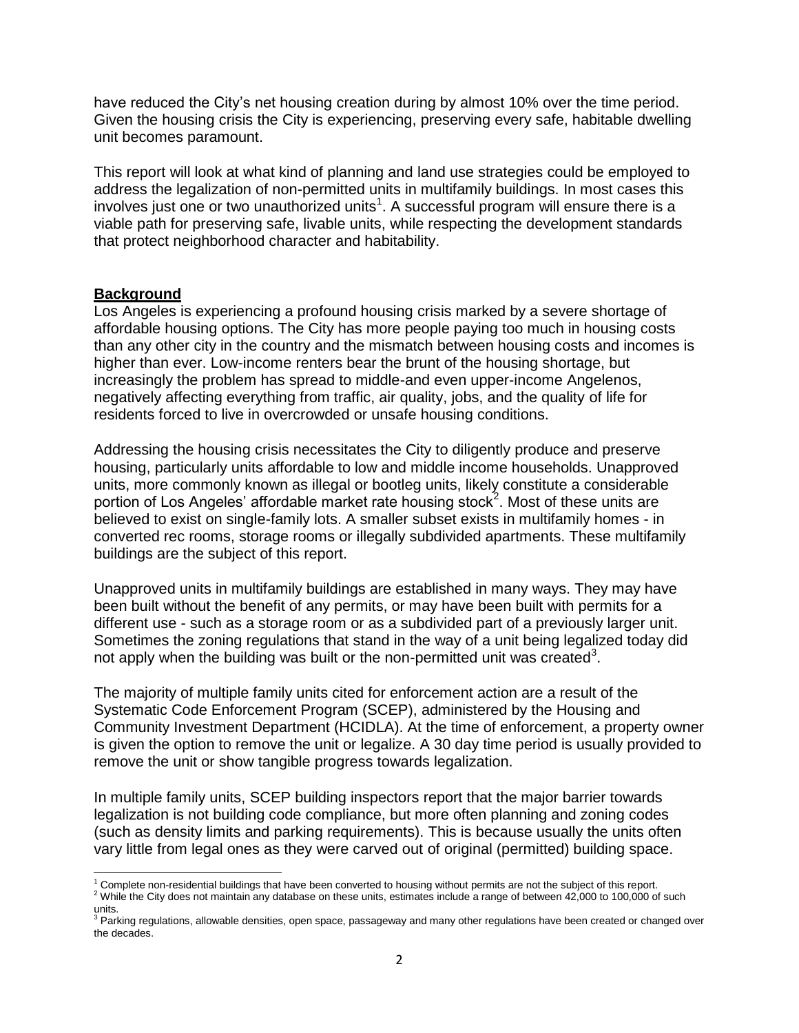have reduced the City's net housing creation during by almost 10% over the time period. Given the housing crisis the City is experiencing, preserving every safe, habitable dwelling unit becomes paramount.

This report will look at what kind of planning and land use strategies could be employed to address the legalization of non-permitted units in multifamily buildings. In most cases this involves just one or two unauthorized units<sup>1</sup>. A successful program will ensure there is a viable path for preserving safe, livable units, while respecting the development standards that protect neighborhood character and habitability.

#### **Background**

Los Angeles is experiencing a profound housing crisis marked by a severe shortage of affordable housing options. The City has more people paying too much in housing costs than any other city in the country and the mismatch between housing costs and incomes is higher than ever. Low-income renters bear the brunt of the housing shortage, but increasingly the problem has spread to middle-and even upper-income Angelenos, negatively affecting everything from traffic, air quality, jobs, and the quality of life for residents forced to live in overcrowded or unsafe housing conditions.

Addressing the housing crisis necessitates the City to diligently produce and preserve housing, particularly units affordable to low and middle income households. Unapproved units, more commonly known as illegal or bootleg units, likely constitute a considerable portion of Los Angeles' affordable market rate housing stock<sup>2</sup>. Most of these units are believed to exist on single-family lots. A smaller subset exists in multifamily homes - in converted rec rooms, storage rooms or illegally subdivided apartments. These multifamily buildings are the subject of this report.

Unapproved units in multifamily buildings are established in many ways. They may have been built without the benefit of any permits, or may have been built with permits for a different use - such as a storage room or as a subdivided part of a previously larger unit. Sometimes the zoning regulations that stand in the way of a unit being legalized today did not apply when the building was built or the non-permitted unit was created<sup>3</sup>.

The majority of multiple family units cited for enforcement action are a result of the Systematic Code Enforcement Program (SCEP), administered by the Housing and Community Investment Department (HCIDLA). At the time of enforcement, a property owner is given the option to remove the unit or legalize. A 30 day time period is usually provided to remove the unit or show tangible progress towards legalization.

In multiple family units, SCEP building inspectors report that the major barrier towards legalization is not building code compliance, but more often planning and zoning codes (such as density limits and parking requirements). This is because usually the units often vary little from legal ones as they were carved out of original (permitted) building space.

 $\overline{\phantom{a}}$  $1$  Complete non-residential buildings that have been converted to housing without permits are not the subject of this report.

<sup>&</sup>lt;sup>2</sup> While the City does not maintain any database on these units, estimates include a range of between 42,000 to 100,000 of such units.<br><sup>3</sup> Parking regulations, allowable densities, open space, passageway and many other regulations have been created or changed over

the decades.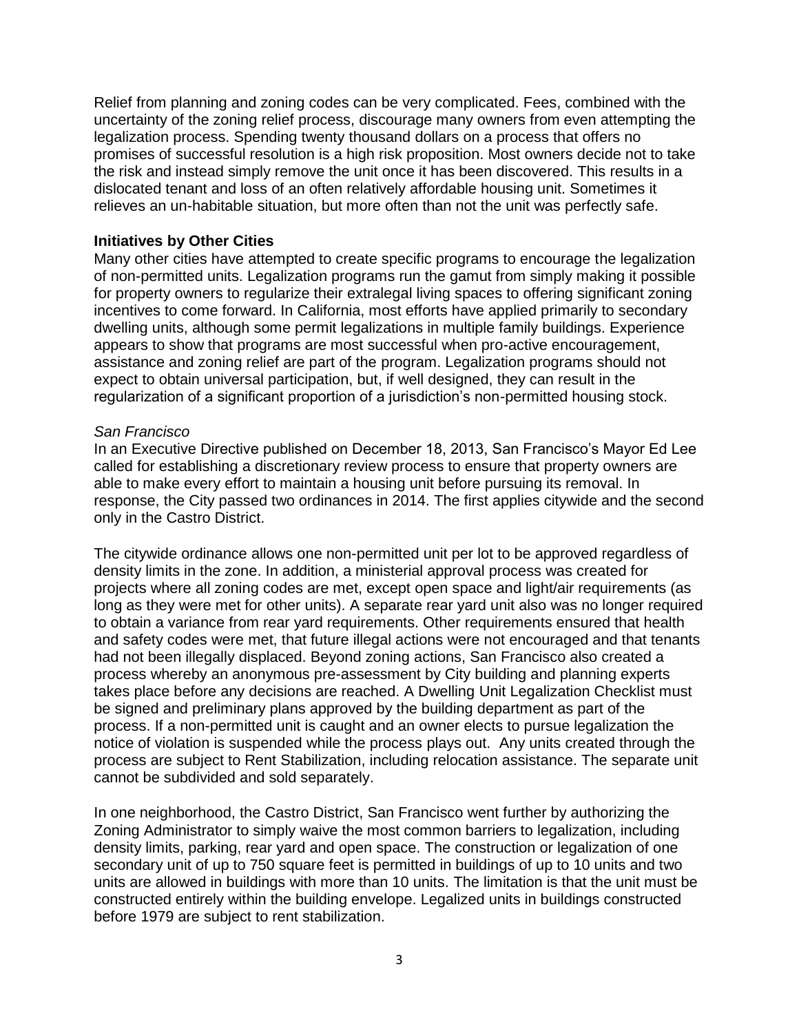Relief from planning and zoning codes can be very complicated. Fees, combined with the uncertainty of the zoning relief process, discourage many owners from even attempting the legalization process. Spending twenty thousand dollars on a process that offers no promises of successful resolution is a high risk proposition. Most owners decide not to take the risk and instead simply remove the unit once it has been discovered. This results in a dislocated tenant and loss of an often relatively affordable housing unit. Sometimes it relieves an un-habitable situation, but more often than not the unit was perfectly safe.

### **Initiatives by Other Cities**

Many other cities have attempted to create specific programs to encourage the legalization of non-permitted units. Legalization programs run the gamut from simply making it possible for property owners to regularize their extralegal living spaces to offering significant zoning incentives to come forward. In California, most efforts have applied primarily to secondary dwelling units, although some permit legalizations in multiple family buildings. Experience appears to show that programs are most successful when pro-active encouragement, assistance and zoning relief are part of the program. Legalization programs should not expect to obtain universal participation, but, if well designed, they can result in the regularization of a significant proportion of a jurisdiction's non-permitted housing stock.

#### *San Francisco*

In an Executive Directive published on December 18, 2013, San Francisco's Mayor Ed Lee called for establishing a discretionary review process to ensure that property owners are able to make every effort to maintain a housing unit before pursuing its removal. In response, the City passed two ordinances in 2014. The first applies citywide and the second only in the Castro District.

The citywide ordinance allows one non-permitted unit per lot to be approved regardless of density limits in the zone. In addition, a ministerial approval process was created for projects where all zoning codes are met, except open space and light/air requirements (as long as they were met for other units). A separate rear yard unit also was no longer required to obtain a variance from rear yard requirements. Other requirements ensured that health and safety codes were met, that future illegal actions were not encouraged and that tenants had not been illegally displaced. Beyond zoning actions, San Francisco also created a process whereby an anonymous pre-assessment by City building and planning experts takes place before any decisions are reached. A Dwelling Unit Legalization Checklist must be signed and preliminary plans approved by the building department as part of the process. If a non-permitted unit is caught and an owner elects to pursue legalization the notice of violation is suspended while the process plays out. Any units created through the process are subject to Rent Stabilization, including relocation assistance. The separate unit cannot be subdivided and sold separately.

In one neighborhood, the Castro District, San Francisco went further by authorizing the Zoning Administrator to simply waive the most common barriers to legalization, including density limits, parking, rear yard and open space. The construction or legalization of one secondary unit of up to 750 square feet is permitted in buildings of up to 10 units and two units are allowed in buildings with more than 10 units. The limitation is that the unit must be constructed entirely within the building envelope. Legalized units in buildings constructed before 1979 are subject to rent stabilization.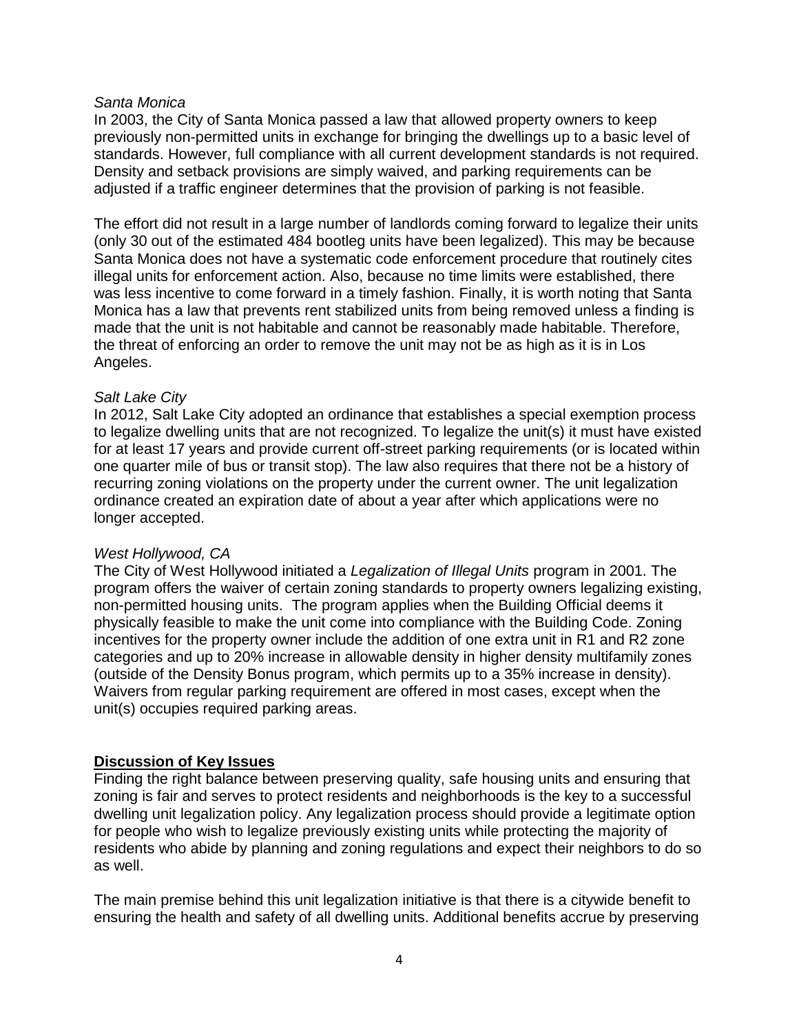#### *Santa Monica*

In 2003, the City of Santa Monica passed a law that allowed property owners to keep previously non-permitted units in exchange for bringing the dwellings up to a basic level of standards. However, full compliance with all current development standards is not required. Density and setback provisions are simply waived, and parking requirements can be adjusted if a traffic engineer determines that the provision of parking is not feasible.

The effort did not result in a large number of landlords coming forward to legalize their units (only 30 out of the estimated 484 bootleg units have been legalized). This may be because Santa Monica does not have a systematic code enforcement procedure that routinely cites illegal units for enforcement action. Also, because no time limits were established, there was less incentive to come forward in a timely fashion. Finally, it is worth noting that Santa Monica has a law that prevents rent stabilized units from being removed unless a finding is made that the unit is not habitable and cannot be reasonably made habitable. Therefore, the threat of enforcing an order to remove the unit may not be as high as it is in Los Angeles.

### *Salt Lake City*

In 2012, Salt Lake City adopted an ordinance that establishes a special exemption process to legalize dwelling units that are not recognized. To legalize the unit(s) it must have existed for at least 17 years and provide current off-street parking requirements (or is located within one quarter mile of bus or transit stop). The law also requires that there not be a history of recurring zoning violations on the property under the current owner. The unit legalization ordinance created an expiration date of about a year after which applications were no longer accepted.

### *West Hollywood, CA*

The City of West Hollywood initiated a *Legalization of Illegal Units* program in 2001. The program offers the waiver of certain zoning standards to property owners legalizing existing, non-permitted housing units. The program applies when the Building Official deems it physically feasible to make the unit come into compliance with the Building Code. Zoning incentives for the property owner include the addition of one extra unit in R1 and R2 zone categories and up to 20% increase in allowable density in higher density multifamily zones (outside of the Density Bonus program, which permits up to a 35% increase in density). Waivers from regular parking requirement are offered in most cases, except when the unit(s) occupies required parking areas.

### **Discussion of Key Issues**

Finding the right balance between preserving quality, safe housing units and ensuring that zoning is fair and serves to protect residents and neighborhoods is the key to a successful dwelling unit legalization policy. Any legalization process should provide a legitimate option for people who wish to legalize previously existing units while protecting the majority of residents who abide by planning and zoning regulations and expect their neighbors to do so as well.

The main premise behind this unit legalization initiative is that there is a citywide benefit to ensuring the health and safety of all dwelling units. Additional benefits accrue by preserving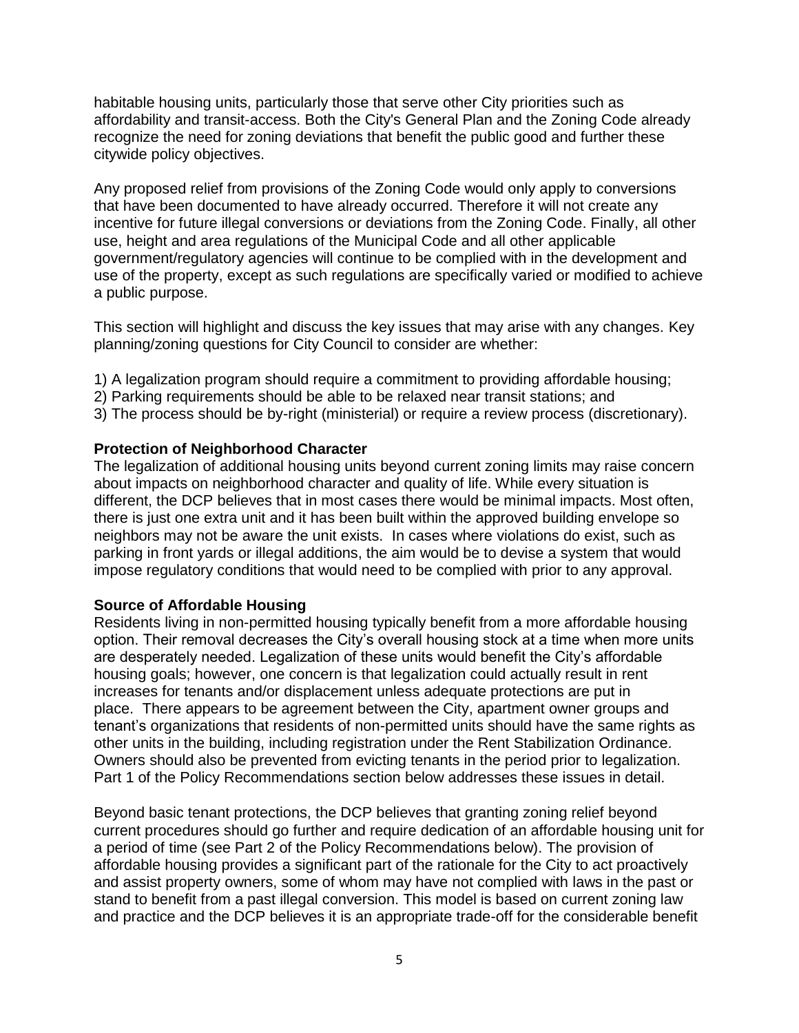habitable housing units, particularly those that serve other City priorities such as affordability and transit-access. Both the City's General Plan and the Zoning Code already recognize the need for zoning deviations that benefit the public good and further these citywide policy objectives.

Any proposed relief from provisions of the Zoning Code would only apply to conversions that have been documented to have already occurred. Therefore it will not create any incentive for future illegal conversions or deviations from the Zoning Code. Finally, all other use, height and area regulations of the Municipal Code and all other applicable government/regulatory agencies will continue to be complied with in the development and use of the property, except as such regulations are specifically varied or modified to achieve a public purpose.

This section will highlight and discuss the key issues that may arise with any changes. Key planning/zoning questions for City Council to consider are whether:

- 1) A legalization program should require a commitment to providing affordable housing;
- 2) Parking requirements should be able to be relaxed near transit stations; and
- 3) The process should be by-right (ministerial) or require a review process (discretionary).

## **Protection of Neighborhood Character**

The legalization of additional housing units beyond current zoning limits may raise concern about impacts on neighborhood character and quality of life. While every situation is different, the DCP believes that in most cases there would be minimal impacts. Most often, there is just one extra unit and it has been built within the approved building envelope so neighbors may not be aware the unit exists. In cases where violations do exist, such as parking in front yards or illegal additions, the aim would be to devise a system that would impose regulatory conditions that would need to be complied with prior to any approval.

### **Source of Affordable Housing**

Residents living in non-permitted housing typically benefit from a more affordable housing option. Their removal decreases the City's overall housing stock at a time when more units are desperately needed. Legalization of these units would benefit the City's affordable housing goals; however, one concern is that legalization could actually result in rent increases for tenants and/or displacement unless adequate protections are put in place. There appears to be agreement between the City, apartment owner groups and tenant's organizations that residents of non-permitted units should have the same rights as other units in the building, including registration under the Rent Stabilization Ordinance. Owners should also be prevented from evicting tenants in the period prior to legalization. Part 1 of the Policy Recommendations section below addresses these issues in detail.

Beyond basic tenant protections, the DCP believes that granting zoning relief beyond current procedures should go further and require dedication of an affordable housing unit for a period of time (see Part 2 of the Policy Recommendations below). The provision of affordable housing provides a significant part of the rationale for the City to act proactively and assist property owners, some of whom may have not complied with laws in the past or stand to benefit from a past illegal conversion. This model is based on current zoning law and practice and the DCP believes it is an appropriate trade-off for the considerable benefit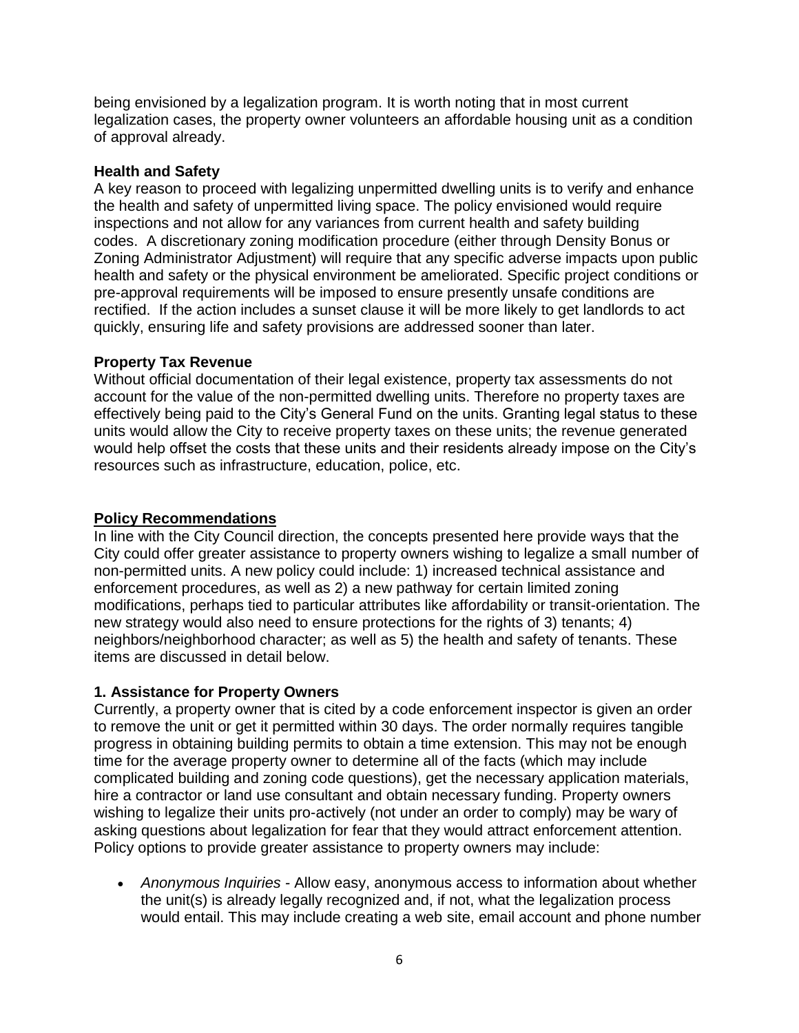being envisioned by a legalization program. It is worth noting that in most current legalization cases, the property owner volunteers an affordable housing unit as a condition of approval already.

### **Health and Safety**

A key reason to proceed with legalizing unpermitted dwelling units is to verify and enhance the health and safety of unpermitted living space. The policy envisioned would require inspections and not allow for any variances from current health and safety building codes. A discretionary zoning modification procedure (either through Density Bonus or Zoning Administrator Adjustment) will require that any specific adverse impacts upon public health and safety or the physical environment be ameliorated. Specific project conditions or pre-approval requirements will be imposed to ensure presently unsafe conditions are rectified. If the action includes a sunset clause it will be more likely to get landlords to act quickly, ensuring life and safety provisions are addressed sooner than later.

### **Property Tax Revenue**

Without official documentation of their legal existence, property tax assessments do not account for the value of the non-permitted dwelling units. Therefore no property taxes are effectively being paid to the City's General Fund on the units. Granting legal status to these units would allow the City to receive property taxes on these units; the revenue generated would help offset the costs that these units and their residents already impose on the City's resources such as infrastructure, education, police, etc.

#### **Policy Recommendations**

In line with the City Council direction, the concepts presented here provide ways that the City could offer greater assistance to property owners wishing to legalize a small number of non-permitted units. A new policy could include: 1) increased technical assistance and enforcement procedures, as well as 2) a new pathway for certain limited zoning modifications, perhaps tied to particular attributes like affordability or transit-orientation. The new strategy would also need to ensure protections for the rights of 3) tenants; 4) neighbors/neighborhood character; as well as 5) the health and safety of tenants. These items are discussed in detail below.

### **1. Assistance for Property Owners**

Currently, a property owner that is cited by a code enforcement inspector is given an order to remove the unit or get it permitted within 30 days. The order normally requires tangible progress in obtaining building permits to obtain a time extension. This may not be enough time for the average property owner to determine all of the facts (which may include complicated building and zoning code questions), get the necessary application materials, hire a contractor or land use consultant and obtain necessary funding. Property owners wishing to legalize their units pro-actively (not under an order to comply) may be wary of asking questions about legalization for fear that they would attract enforcement attention. Policy options to provide greater assistance to property owners may include:

 *Anonymous Inquiries -* Allow easy, anonymous access to information about whether the unit(s) is already legally recognized and, if not, what the legalization process would entail. This may include creating a web site, email account and phone number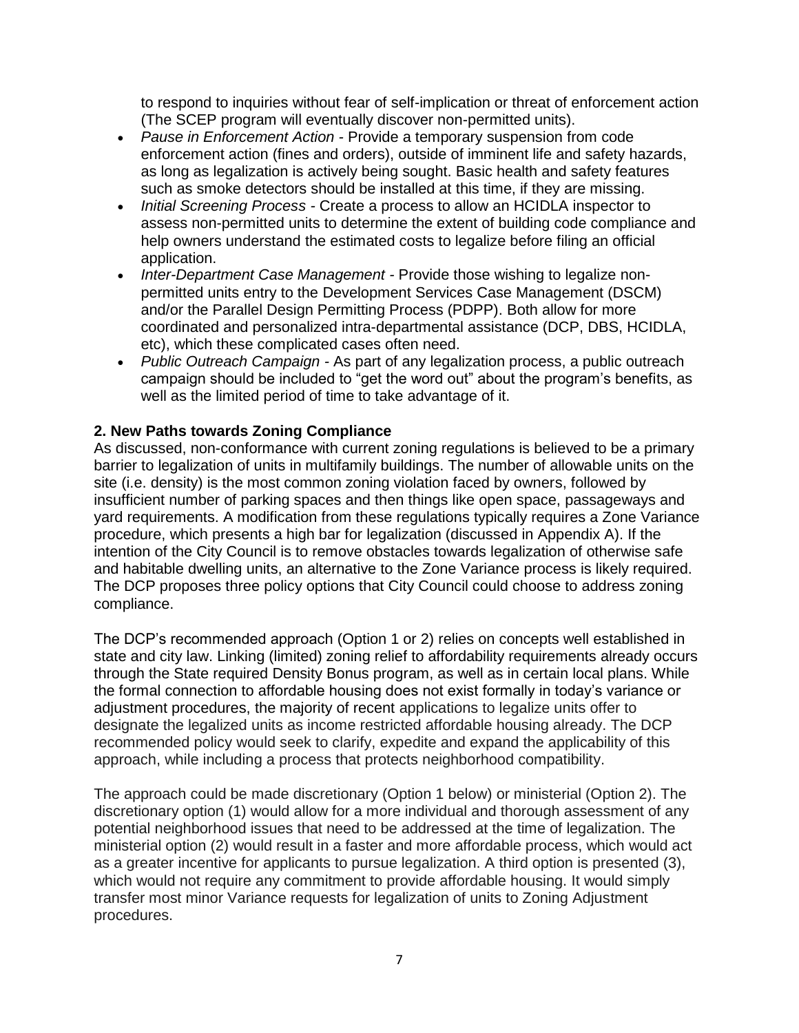to respond to inquiries without fear of self-implication or threat of enforcement action (The SCEP program will eventually discover non-permitted units).

- *Pause in Enforcement Action -* Provide a temporary suspension from code enforcement action (fines and orders), outside of imminent life and safety hazards, as long as legalization is actively being sought. Basic health and safety features such as smoke detectors should be installed at this time, if they are missing.
- *Initial Screening Process -* Create a process to allow an HCIDLA inspector to assess non-permitted units to determine the extent of building code compliance and help owners understand the estimated costs to legalize before filing an official application.
- *Inter-Department Case Management -* Provide those wishing to legalize nonpermitted units entry to the Development Services Case Management (DSCM) and/or the Parallel Design Permitting Process (PDPP). Both allow for more coordinated and personalized intra-departmental assistance (DCP, DBS, HCIDLA, etc), which these complicated cases often need.
- *Public Outreach Campaign -* As part of any legalization process, a public outreach campaign should be included to "get the word out" about the program's benefits, as well as the limited period of time to take advantage of it.

# **2. New Paths towards Zoning Compliance**

As discussed, non-conformance with current zoning regulations is believed to be a primary barrier to legalization of units in multifamily buildings. The number of allowable units on the site (i.e. density) is the most common zoning violation faced by owners, followed by insufficient number of parking spaces and then things like open space, passageways and yard requirements. A modification from these regulations typically requires a Zone Variance procedure, which presents a high bar for legalization (discussed in Appendix A). If the intention of the City Council is to remove obstacles towards legalization of otherwise safe and habitable dwelling units, an alternative to the Zone Variance process is likely required. The DCP proposes three policy options that City Council could choose to address zoning compliance.

The DCP's recommended approach (Option 1 or 2) relies on concepts well established in state and city law. Linking (limited) zoning relief to affordability requirements already occurs through the State required Density Bonus program, as well as in certain local plans. While the formal connection to affordable housing does not exist formally in today's variance or adjustment procedures, the majority of recent applications to legalize units offer to designate the legalized units as income restricted affordable housing already. The DCP recommended policy would seek to clarify, expedite and expand the applicability of this approach, while including a process that protects neighborhood compatibility.

The approach could be made discretionary (Option 1 below) or ministerial (Option 2). The discretionary option (1) would allow for a more individual and thorough assessment of any potential neighborhood issues that need to be addressed at the time of legalization. The ministerial option (2) would result in a faster and more affordable process, which would act as a greater incentive for applicants to pursue legalization. A third option is presented (3), which would not require any commitment to provide affordable housing. It would simply transfer most minor Variance requests for legalization of units to Zoning Adjustment procedures.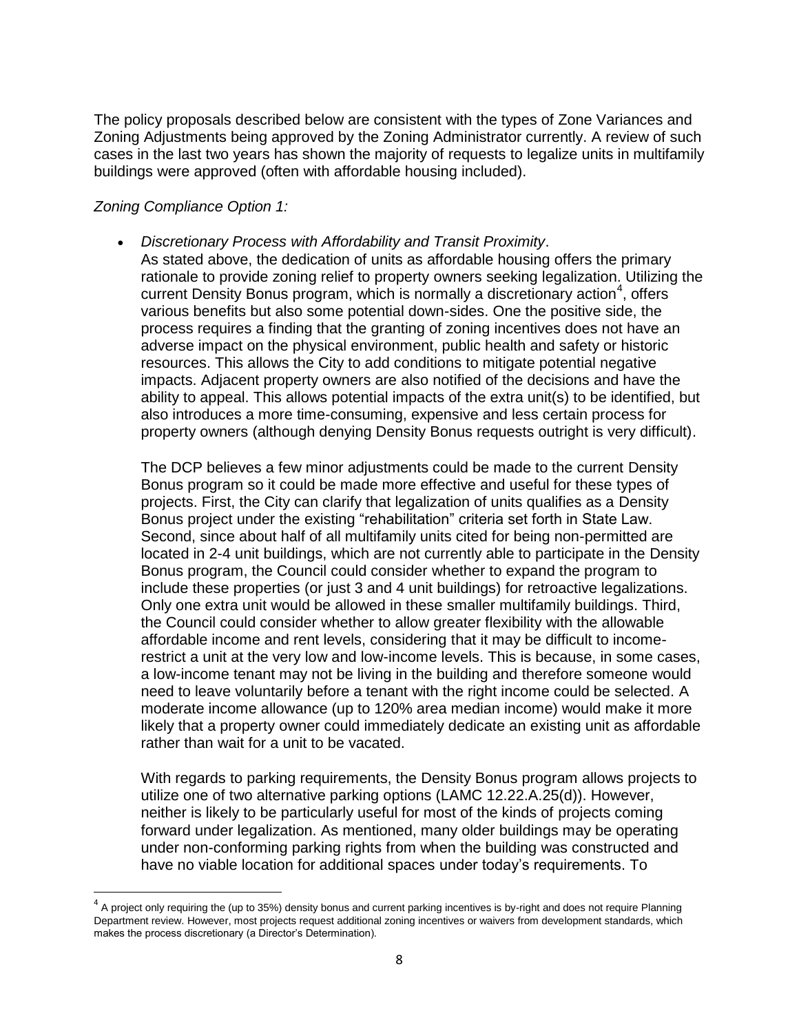The policy proposals described below are consistent with the types of Zone Variances and Zoning Adjustments being approved by the Zoning Administrator currently. A review of such cases in the last two years has shown the majority of requests to legalize units in multifamily buildings were approved (often with affordable housing included).

# *Zoning Compliance Option 1:*

 $\overline{\phantom{a}}$ 

 *Discretionary Process with Affordability and Transit Proximity*. As stated above, the dedication of units as affordable housing offers the primary rationale to provide zoning relief to property owners seeking legalization. Utilizing the current Density Bonus program, which is normally a discretionary action<sup>4</sup>, offers various benefits but also some potential down-sides. One the positive side, the process requires a finding that the granting of zoning incentives does not have an adverse impact on the physical environment, public health and safety or historic resources. This allows the City to add conditions to mitigate potential negative impacts. Adjacent property owners are also notified of the decisions and have the ability to appeal. This allows potential impacts of the extra unit(s) to be identified, but also introduces a more time-consuming, expensive and less certain process for property owners (although denying Density Bonus requests outright is very difficult).

The DCP believes a few minor adjustments could be made to the current Density Bonus program so it could be made more effective and useful for these types of projects. First, the City can clarify that legalization of units qualifies as a Density Bonus project under the existing "rehabilitation" criteria set forth in State Law. Second, since about half of all multifamily units cited for being non-permitted are located in 2-4 unit buildings, which are not currently able to participate in the Density Bonus program, the Council could consider whether to expand the program to include these properties (or just 3 and 4 unit buildings) for retroactive legalizations. Only one extra unit would be allowed in these smaller multifamily buildings. Third, the Council could consider whether to allow greater flexibility with the allowable affordable income and rent levels, considering that it may be difficult to incomerestrict a unit at the very low and low-income levels. This is because, in some cases, a low-income tenant may not be living in the building and therefore someone would need to leave voluntarily before a tenant with the right income could be selected. A moderate income allowance (up to 120% area median income) would make it more likely that a property owner could immediately dedicate an existing unit as affordable rather than wait for a unit to be vacated.

With regards to parking requirements, the Density Bonus program allows projects to utilize one of two alternative parking options (LAMC 12.22.A.25(d)). However, neither is likely to be particularly useful for most of the kinds of projects coming forward under legalization. As mentioned, many older buildings may be operating under non-conforming parking rights from when the building was constructed and have no viable location for additional spaces under today's requirements. To

 $^4$  A project only requiring the (up to 35%) density bonus and current parking incentives is by-right and does not require Planning Department review. However, most projects request additional zoning incentives or waivers from development standards, which makes the process discretionary (a Director's Determination).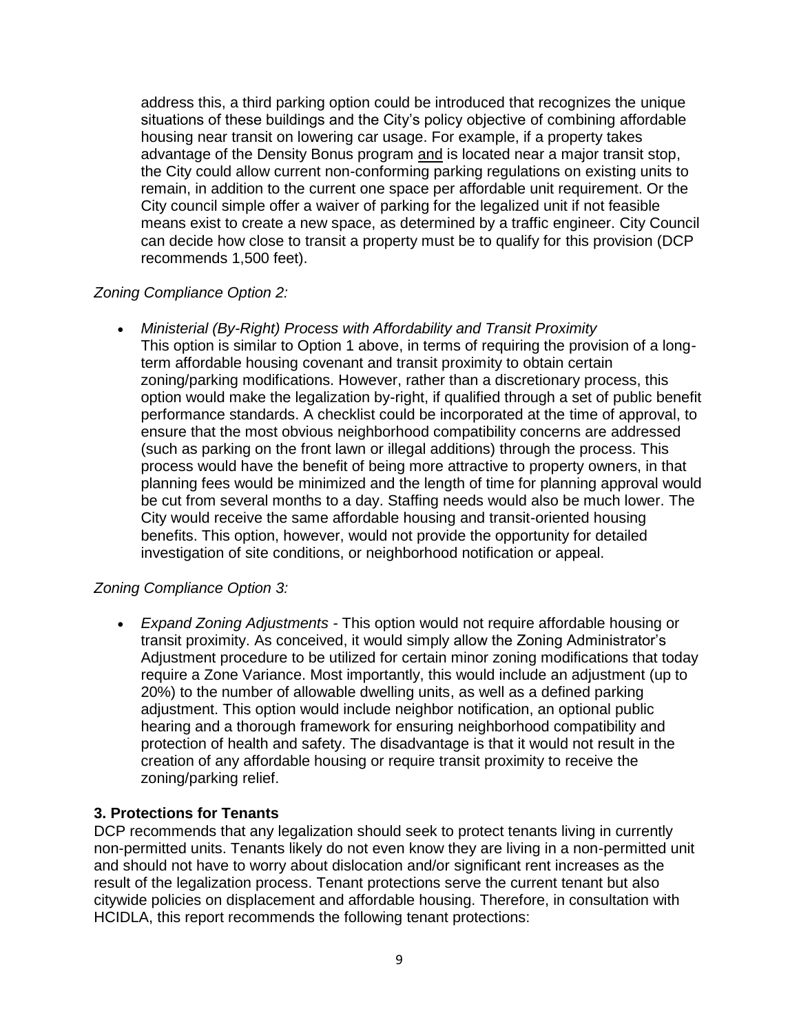address this, a third parking option could be introduced that recognizes the unique situations of these buildings and the City's policy objective of combining affordable housing near transit on lowering car usage. For example, if a property takes advantage of the Density Bonus program and is located near a major transit stop, the City could allow current non-conforming parking regulations on existing units to remain, in addition to the current one space per affordable unit requirement. Or the City council simple offer a waiver of parking for the legalized unit if not feasible means exist to create a new space, as determined by a traffic engineer. City Council can decide how close to transit a property must be to qualify for this provision (DCP recommends 1,500 feet).

# *Zoning Compliance Option 2:*

 *Ministerial (By-Right) Process with Affordability and Transit Proximity* This option is similar to Option 1 above, in terms of requiring the provision of a longterm affordable housing covenant and transit proximity to obtain certain zoning/parking modifications. However, rather than a discretionary process, this option would make the legalization by-right, if qualified through a set of public benefit performance standards. A checklist could be incorporated at the time of approval, to ensure that the most obvious neighborhood compatibility concerns are addressed (such as parking on the front lawn or illegal additions) through the process. This process would have the benefit of being more attractive to property owners, in that planning fees would be minimized and the length of time for planning approval would be cut from several months to a day. Staffing needs would also be much lower. The City would receive the same affordable housing and transit-oriented housing benefits. This option, however, would not provide the opportunity for detailed investigation of site conditions, or neighborhood notification or appeal.

# *Zoning Compliance Option 3:*

 *Expand Zoning Adjustments -* This option would not require affordable housing or transit proximity. As conceived, it would simply allow the Zoning Administrator's Adjustment procedure to be utilized for certain minor zoning modifications that today require a Zone Variance. Most importantly, this would include an adjustment (up to 20%) to the number of allowable dwelling units, as well as a defined parking adjustment. This option would include neighbor notification, an optional public hearing and a thorough framework for ensuring neighborhood compatibility and protection of health and safety. The disadvantage is that it would not result in the creation of any affordable housing or require transit proximity to receive the zoning/parking relief.

# **3. Protections for Tenants**

DCP recommends that any legalization should seek to protect tenants living in currently non-permitted units. Tenants likely do not even know they are living in a non-permitted unit and should not have to worry about dislocation and/or significant rent increases as the result of the legalization process. Tenant protections serve the current tenant but also citywide policies on displacement and affordable housing. Therefore, in consultation with HCIDLA, this report recommends the following tenant protections: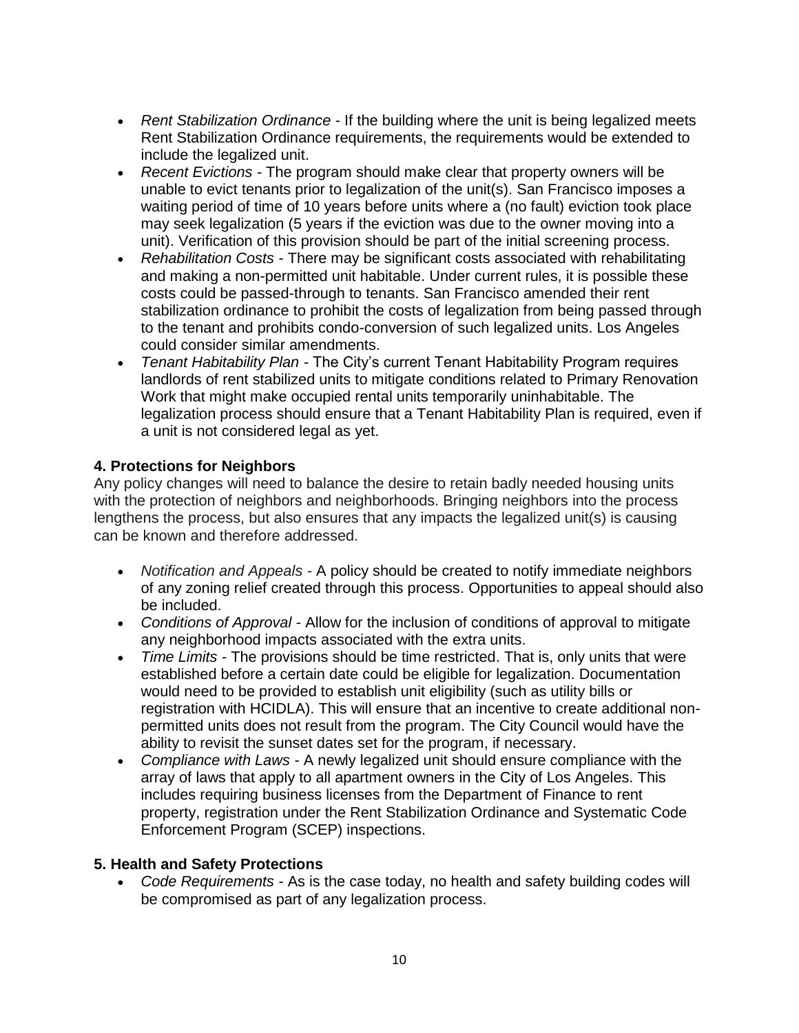- *Rent Stabilization Ordinance -* If the building where the unit is being legalized meets Rent Stabilization Ordinance requirements, the requirements would be extended to include the legalized unit.
- *Recent Evictions -* The program should make clear that property owners will be unable to evict tenants prior to legalization of the unit(s). San Francisco imposes a waiting period of time of 10 years before units where a (no fault) eviction took place may seek legalization (5 years if the eviction was due to the owner moving into a unit). Verification of this provision should be part of the initial screening process.
- *Rehabilitation Costs -* There may be significant costs associated with rehabilitating and making a non-permitted unit habitable. Under current rules, it is possible these costs could be passed-through to tenants. San Francisco amended their rent stabilization ordinance to prohibit the costs of legalization from being passed through to the tenant and prohibits condo-conversion of such legalized units. Los Angeles could consider similar amendments.
- *Tenant Habitability Plan -* The City's current Tenant Habitability Program requires landlords of rent stabilized units to mitigate conditions related to Primary Renovation Work that might make occupied rental units temporarily uninhabitable. The legalization process should ensure that a Tenant Habitability Plan is required, even if a unit is not considered legal as yet.

# **4. Protections for Neighbors**

Any policy changes will need to balance the desire to retain badly needed housing units with the protection of neighbors and neighborhoods. Bringing neighbors into the process lengthens the process, but also ensures that any impacts the legalized unit(s) is causing can be known and therefore addressed.

- *Notification and Appeals -* A policy should be created to notify immediate neighbors of any zoning relief created through this process. Opportunities to appeal should also be included.
- *Conditions of Approval -* Allow for the inclusion of conditions of approval to mitigate any neighborhood impacts associated with the extra units.
- *Time Limits -* The provisions should be time restricted. That is, only units that were established before a certain date could be eligible for legalization. Documentation would need to be provided to establish unit eligibility (such as utility bills or registration with HCIDLA). This will ensure that an incentive to create additional nonpermitted units does not result from the program. The City Council would have the ability to revisit the sunset dates set for the program, if necessary.
- *Compliance with Laws -* A newly legalized unit should ensure compliance with the array of laws that apply to all apartment owners in the City of Los Angeles. This includes requiring business licenses from the Department of Finance to rent property, registration under the Rent Stabilization Ordinance and Systematic Code Enforcement Program (SCEP) inspections.

### **5. Health and Safety Protections**

 *Code Requirements -* As is the case today, no health and safety building codes will be compromised as part of any legalization process.